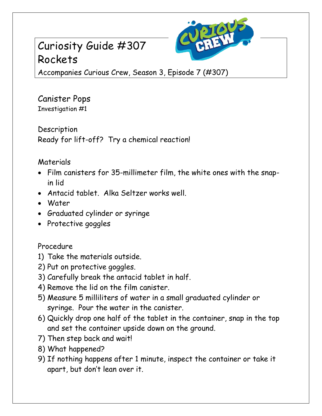## Curiosity Guide #307 Rockets



Accompanies Curious Crew, Season 3, Episode 7 (#307)

Canister Pops Investigation #1

Description Ready for lift-off? Try a chemical reaction!

## Materials

- Film canisters for 35-millimeter film, the white ones with the snapin lid
- Antacid tablet. Alka Seltzer works well.
- Water
- Graduated cylinder or syringe
- Protective goggles

## Procedure

- 1) Take the materials outside.
- 2) Put on protective goggles.
- 3) Carefully break the antacid tablet in half.
- 4) Remove the lid on the film canister.
- 5) Measure 5 milliliters of water in a small graduated cylinder or syringe. Pour the water in the canister.
- 6) Quickly drop one half of the tablet in the container, snap in the top and set the container upside down on the ground.
- 7) Then step back and wait!
- 8) What happened?
- 9) If nothing happens after 1 minute, inspect the container or take it apart, but don't lean over it.